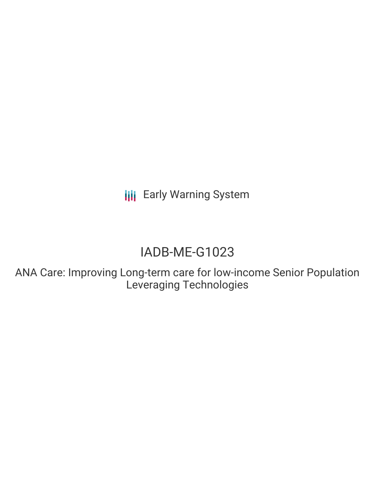**III** Early Warning System

# IADB-ME-G1023

ANA Care: Improving Long-term care for low-income Senior Population Leveraging Technologies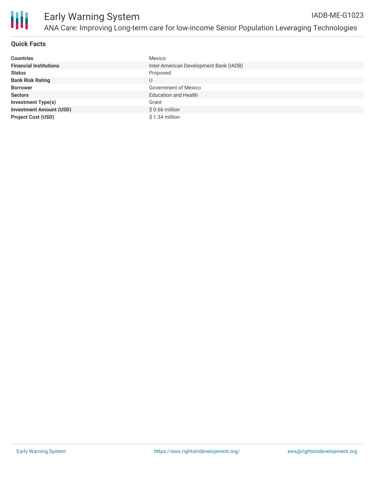

# **Quick Facts**

| <b>Countries</b>               | Mexico                                 |
|--------------------------------|----------------------------------------|
| <b>Financial Institutions</b>  | Inter-American Development Bank (IADB) |
| <b>Status</b>                  | Proposed                               |
| <b>Bank Risk Rating</b>        | U                                      |
| <b>Borrower</b>                | <b>Government of Mexico</b>            |
| <b>Sectors</b>                 | <b>Education and Health</b>            |
| <b>Investment Type(s)</b>      | Grant                                  |
| <b>Investment Amount (USD)</b> | $$0.66$ million                        |
| <b>Project Cost (USD)</b>      | $$1.34$ million                        |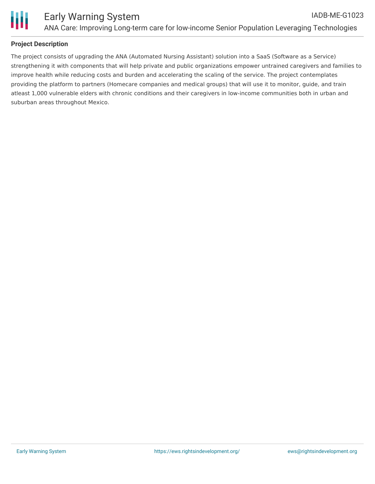

# **Project Description**

The project consists of upgrading the ANA (Automated Nursing Assistant) solution into a SaaS (Software as a Service) strengthening it with components that will help private and public organizations empower untrained caregivers and families to improve health while reducing costs and burden and accelerating the scaling of the service. The project contemplates providing the platform to partners (Homecare companies and medical groups) that will use it to monitor, guide, and train atleast 1,000 vulnerable elders with chronic conditions and their caregivers in low-income communities both in urban and suburban areas throughout Mexico.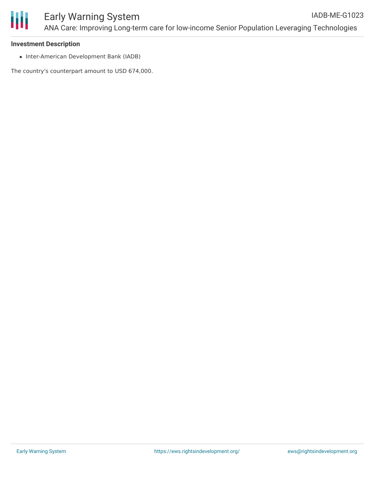

#### **Investment Description**

• Inter-American Development Bank (IADB)

The country's counterpart amount to USD 674,000.